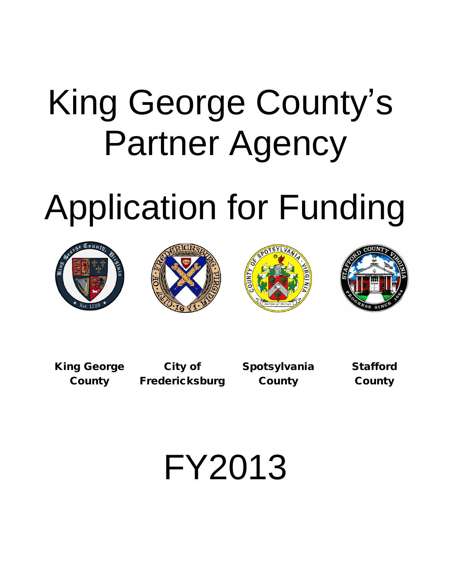# King George County's Partner Agency

# Application for Funding









**King George City of Spotsylvania Stafford County Fredericksburg County County**

FY2013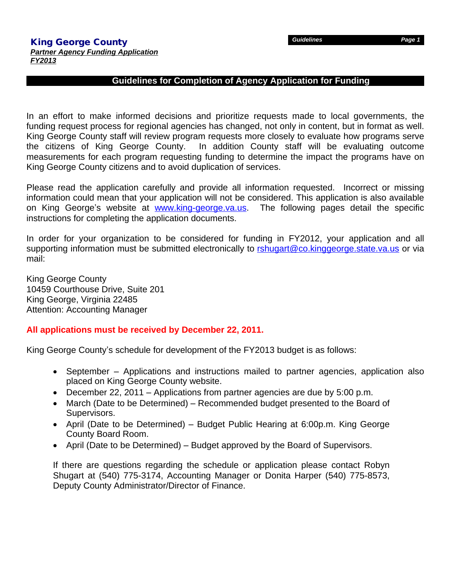### **Guidelines for Completion of Agency Application for Funding**

In an effort to make informed decisions and prioritize requests made to local governments, the funding request process for regional agencies has changed, not only in content, but in format as well. King George County staff will review program requests more closely to evaluate how programs serve the citizens of King George County. In addition County staff will be evaluating outcome measurements for each program requesting funding to determine the impact the programs have on King George County citizens and to avoid duplication of services.

Please read the application carefully and provide all information requested. Incorrect or missing information could mean that your application will not be considered. This application is also available on King George's website at www.king-george.va.us. The following pages detail the specific instructions for completing the application documents.

In order for your organization to be considered for funding in FY2012, your application and all supporting information must be submitted electronically to [rshugart@co.kinggeorge.state.va.us](mailto:rshugart@co.kinggeorge.state.va.us) or via mail:

King George County 10459 Courthouse Drive, Suite 201 King George, Virginia 22485 Attention: Accounting Manager

### **All applications must be received by December 22, 2011.**

King George County's schedule for development of the FY2013 budget is as follows:

- September Applications and instructions mailed to partner agencies, application also placed on King George County website.
- December 22, 2011 Applications from partner agencies are due by 5:00 p.m.
- March (Date to be Determined) Recommended budget presented to the Board of Supervisors.
- April (Date to be Determined) Budget Public Hearing at 6:00p.m. King George County Board Room.
- April (Date to be Determined) Budget approved by the Board of Supervisors.

If there are questions regarding the schedule or application please contact Robyn Shugart at (540) 775-3174, Accounting Manager or Donita Harper (540) 775-8573, Deputy County Administrator/Director of Finance.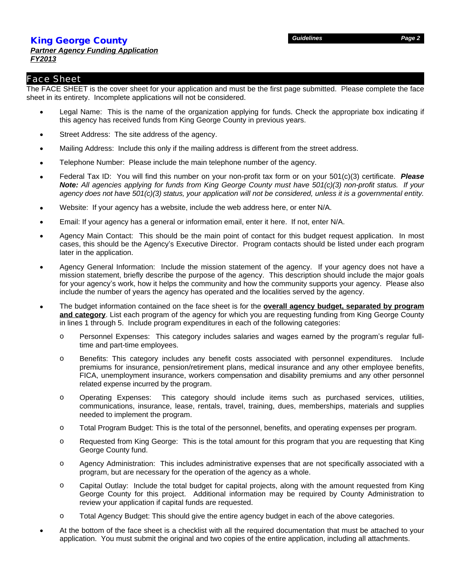### **King George County** *Partner Agency Funding Application FY2013*

### Face Sheet

The FACE SHEET is the cover sheet for your application and must be the first page submitted. Please complete the face sheet in its entirety. Incomplete applications will not be considered.

- Legal Name: This is the name of the organization applying for funds. Check the appropriate box indicating if this agency has received funds from King George County in previous years.
- Street Address: The site address of the agency.
- Mailing Address: Include this only if the mailing address is different from the street address.
- Telephone Number: Please include the main telephone number of the agency.
- Federal Tax ID: You will find this number on your non-profit tax form or on your 501(c)(3) certificate. *Please* Note: All agencies applying for funds from King George County must have 501(c)(3) non-profit status. If your *agency does not have 501(c)(3) status, your application will not be considered, unless it is a governmental entity.*
- Website: If your agency has a website, include the web address here, or enter N/A.
- Email: If your agency has a general or information email, enter it here. If not, enter N/A.
- Agency Main Contact: This should be the main point of contact for this budget request application. In most cases, this should be the Agency's Executive Director. Program contacts should be listed under each program later in the application.
- Agency General Information: Include the mission statement of the agency. If your agency does not have a mission statement, briefly describe the purpose of the agency. This description should include the major goals for your agency's work, how it helps the community and how the community supports your agency. Please also include the number of years the agency has operated and the localities served by the agency.
- The budget information contained on the face sheet is for the **overall agency budget, separated by program and category**. List each program of the agency for which you are requesting funding from King George County in lines 1 through 5. Include program expenditures in each of the following categories:
	- o Personnel Expenses: This category includes salaries and wages earned by the program's regular fulltime and part-time employees.
	- o Benefits: This category includes any benefit costs associated with personnel expenditures. Include premiums for insurance, pension/retirement plans, medical insurance and any other employee benefits, FICA, unemployment insurance, workers compensation and disability premiums and any other personnel related expense incurred by the program.
	- o Operating Expenses: This category should include items such as purchased services, utilities, communications, insurance, lease, rentals, travel, training, dues, memberships, materials and supplies needed to implement the program.
	- o Total Program Budget: This is the total of the personnel, benefits, and operating expenses per program.
	- o Requested from King George: This is the total amount for this program that you are requesting that King George County fund.
	- o Agency Administration: This includes administrative expenses that are not specifically associated with a program, but are necessary for the operation of the agency as a whole.
	- o Capital Outlay: Include the total budget for capital projects, along with the amount requested from King George County for this project. Additional information may be required by County Administration to review your application if capital funds are requested.
	- o Total Agency Budget: This should give the entire agency budget in each of the above categories.
- At the bottom of the face sheet is a checklist with all the required documentation that must be attached to your application. You must submit the original and two copies of the entire application, including all attachments.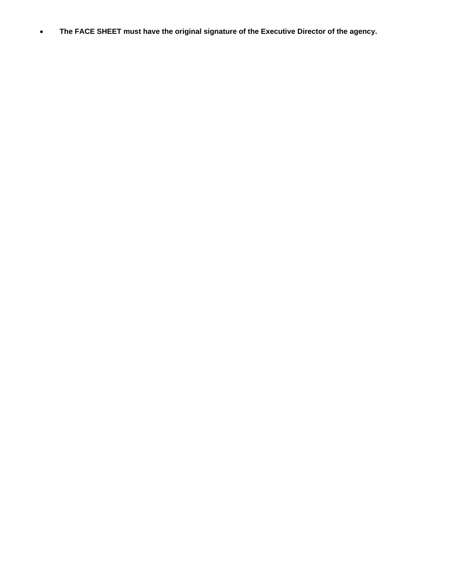**The FACE SHEET must have the original signature of the Executive Director of the agency.**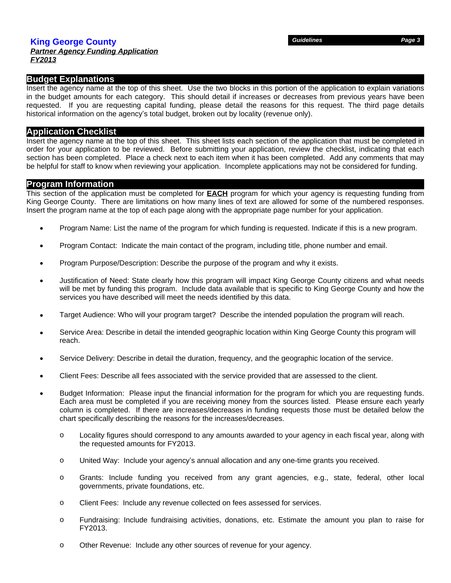### *Partner Agency Funding Application FY2013*

### **Budget Explanations**

Insert the agency name at the top of this sheet. Use the two blocks in this portion of the application to explain variations in the budget amounts for each category. This should detail if increases or decreases from previous years have been requested. If you are requesting capital funding, please detail the reasons for this request. The third page details historical information on the agency's total budget, broken out by locality (revenue only).

### **Application Checklist**

Insert the agency name at the top of this sheet. This sheet lists each section of the application that must be completed in order for your application to be reviewed. Before submitting your application, review the checklist, indicating that each section has been completed. Place a check next to each item when it has been completed. Add any comments that may be helpful for staff to know when reviewing your application. Incomplete applications may not be considered for funding.

### **Program Information**

This section of the application must be completed for **EACH** program for which your agency is requesting funding from King George County. There are limitations on how many lines of text are allowed for some of the numbered responses. Insert the program name at the top of each page along with the appropriate page number for your application.

- Program Name: List the name of the program for which funding is requested. Indicate if this is a new program.
- Program Contact: Indicate the main contact of the program, including title, phone number and email.
- Program Purpose/Description: Describe the purpose of the program and why it exists.
- Justification of Need: State clearly how this program will impact King George County citizens and what needs will be met by funding this program. Include data available that is specific to King George County and how the services you have described will meet the needs identified by this data.
- Target Audience: Who will your program target? Describe the intended population the program will reach.
- Service Area: Describe in detail the intended geographic location within King George County this program will reach.
- Service Delivery: Describe in detail the duration, frequency, and the geographic location of the service.
- Client Fees: Describe all fees associated with the service provided that are assessed to the client.
- Budget Information: Please input the financial information for the program for which you are requesting funds. Each area must be completed if you are receiving money from the sources listed. Please ensure each yearly column is completed. If there are increases/decreases in funding requests those must be detailed below the chart specifically describing the reasons for the increases/decreases.
	- o Locality figures should correspond to any amounts awarded to your agency in each fiscal year, along with the requested amounts for FY2013.
	- o United Way: Include your agency's annual allocation and any one-time grants you received.
	- o Grants: Include funding you received from any grant agencies, e.g., state, federal, other local governments, private foundations, etc.
	- o Client Fees: Include any revenue collected on fees assessed for services.
	- o Fundraising: Include fundraising activities, donations, etc. Estimate the amount you plan to raise for FY2013.
	- o Other Revenue: Include any other sources of revenue for your agency.

*Guidelines Page 3*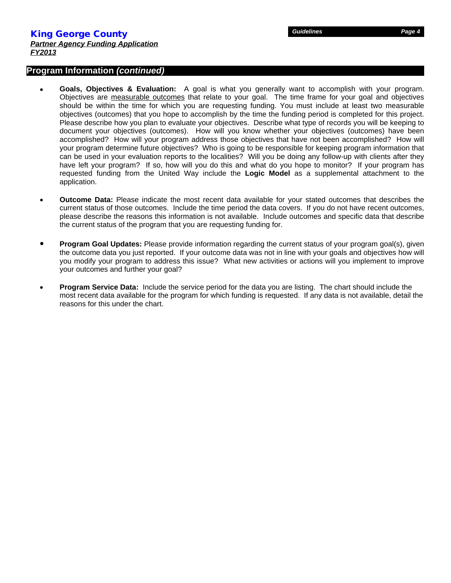### **Program Information** *(continued)*

- **Goals, Objectives & Evaluation:** A goal is what you generally want to accomplish with your program. Objectives are measurable outcomes that relate to your goal. The time frame for your goal and objectives should be within the time for which you are requesting funding. You must include at least two measurable objectives (outcomes) that you hope to accomplish by the time the funding period is completed for this project. Please describe how you plan to evaluate your objectives. Describe what type of records you will be keeping to document your objectives (outcomes). How will you know whether your objectives (outcomes) have been accomplished? How will your program address those objectives that have not been accomplished? How will your program determine future objectives? Who is going to be responsible for keeping program information that can be used in your evaluation reports to the localities? Will you be doing any follow-up with clients after they have left your program? If so, how will you do this and what do you hope to monitor? If your program has requested funding from the United Way include the **Logic Model** as a supplemental attachment to the application.
- **Outcome Data:** Please indicate the most recent data available for your stated outcomes that describes the current status of those outcomes. Include the time period the data covers. If you do not have recent outcomes, please describe the reasons this information is not available. Include outcomes and specific data that describe the current status of the program that you are requesting funding for.
- **Program Goal Updates:** Please provide information regarding the current status of your program goal(s), given the outcome data you just reported. If your outcome data was not in line with your goals and objectives how will you modify your program to address this issue? What new activities or actions will you implement to improve your outcomes and further your goal?
- **Program Service Data:** Include the service period for the data you are listing. The chart should include the most recent data available for the program for which funding is requested. If any data is not available, detail the reasons for this under the chart.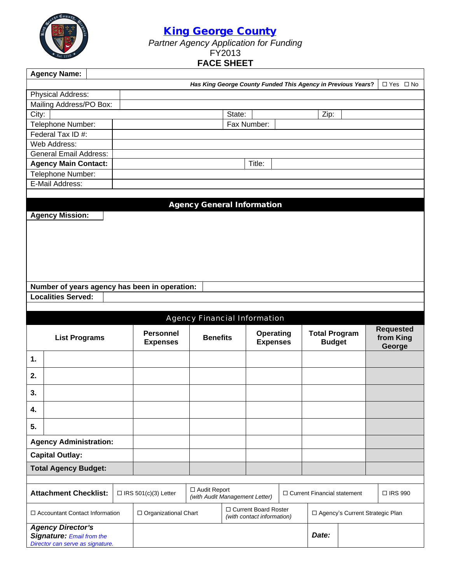

*Partner Agency Application for Funding*

### FY2013

## **FACE SHEET**

|       | <b>Agency Name:</b>                                          |  |                             |                                                  |        |                                                      |  |                                                              |  |  |                      |  |
|-------|--------------------------------------------------------------|--|-----------------------------|--------------------------------------------------|--------|------------------------------------------------------|--|--------------------------------------------------------------|--|--|----------------------|--|
|       |                                                              |  |                             |                                                  |        |                                                      |  | Has King George County Funded This Agency in Previous Years? |  |  | $\Box$ Yes $\Box$ No |  |
|       | Physical Address:                                            |  |                             |                                                  |        |                                                      |  |                                                              |  |  |                      |  |
|       | Mailing Address/PO Box:                                      |  |                             |                                                  |        |                                                      |  |                                                              |  |  |                      |  |
| City: |                                                              |  |                             |                                                  | State: |                                                      |  | Zip:                                                         |  |  |                      |  |
|       | Telephone Number:                                            |  |                             |                                                  |        | Fax Number:                                          |  |                                                              |  |  |                      |  |
|       | Federal Tax ID #:                                            |  |                             |                                                  |        |                                                      |  |                                                              |  |  |                      |  |
|       | Web Address:                                                 |  |                             |                                                  |        |                                                      |  |                                                              |  |  |                      |  |
|       | <b>General Email Address:</b>                                |  |                             |                                                  |        |                                                      |  |                                                              |  |  |                      |  |
|       | <b>Agency Main Contact:</b>                                  |  |                             |                                                  |        | Title:                                               |  |                                                              |  |  |                      |  |
|       | Telephone Number:                                            |  |                             |                                                  |        |                                                      |  |                                                              |  |  |                      |  |
|       | E-Mail Address:                                              |  |                             |                                                  |        |                                                      |  |                                                              |  |  |                      |  |
|       |                                                              |  |                             |                                                  |        |                                                      |  |                                                              |  |  |                      |  |
|       |                                                              |  |                             | <b>Agency General Information</b>                |        |                                                      |  |                                                              |  |  |                      |  |
|       | <b>Agency Mission:</b>                                       |  |                             |                                                  |        |                                                      |  |                                                              |  |  |                      |  |
|       |                                                              |  |                             |                                                  |        |                                                      |  |                                                              |  |  |                      |  |
|       |                                                              |  |                             |                                                  |        |                                                      |  |                                                              |  |  |                      |  |
|       |                                                              |  |                             |                                                  |        |                                                      |  |                                                              |  |  |                      |  |
|       |                                                              |  |                             |                                                  |        |                                                      |  |                                                              |  |  |                      |  |
|       |                                                              |  |                             |                                                  |        |                                                      |  |                                                              |  |  |                      |  |
|       |                                                              |  |                             |                                                  |        |                                                      |  |                                                              |  |  |                      |  |
|       | Number of years agency has been in operation:                |  |                             |                                                  |        |                                                      |  |                                                              |  |  |                      |  |
|       |                                                              |  |                             |                                                  |        |                                                      |  |                                                              |  |  |                      |  |
|       | <b>Localities Served:</b>                                    |  |                             |                                                  |        |                                                      |  |                                                              |  |  |                      |  |
|       |                                                              |  |                             |                                                  |        |                                                      |  |                                                              |  |  |                      |  |
|       |                                                              |  |                             | Agency Financial Information                     |        |                                                      |  |                                                              |  |  |                      |  |
|       |                                                              |  |                             |                                                  |        |                                                      |  |                                                              |  |  | <b>Requested</b>     |  |
|       | <b>List Programs</b>                                         |  | <b>Personnel</b>            | <b>Benefits</b>                                  |        | <b>Operating</b>                                     |  | <b>Total Program</b>                                         |  |  | from King            |  |
|       |                                                              |  | <b>Expenses</b>             |                                                  |        | <b>Expenses</b>                                      |  | <b>Budget</b>                                                |  |  | George               |  |
| 1.    |                                                              |  |                             |                                                  |        |                                                      |  |                                                              |  |  |                      |  |
|       |                                                              |  |                             |                                                  |        |                                                      |  |                                                              |  |  |                      |  |
| 2.    |                                                              |  |                             |                                                  |        |                                                      |  |                                                              |  |  |                      |  |
| 3.    |                                                              |  |                             |                                                  |        |                                                      |  |                                                              |  |  |                      |  |
| 4.    |                                                              |  |                             |                                                  |        |                                                      |  |                                                              |  |  |                      |  |
|       |                                                              |  |                             |                                                  |        |                                                      |  |                                                              |  |  |                      |  |
| 5.    |                                                              |  |                             |                                                  |        |                                                      |  |                                                              |  |  |                      |  |
|       | <b>Agency Administration:</b>                                |  |                             |                                                  |        |                                                      |  |                                                              |  |  |                      |  |
|       | <b>Capital Outlay:</b>                                       |  |                             |                                                  |        |                                                      |  |                                                              |  |  |                      |  |
|       | <b>Total Agency Budget:</b>                                  |  |                             |                                                  |        |                                                      |  |                                                              |  |  |                      |  |
|       |                                                              |  |                             |                                                  |        |                                                      |  |                                                              |  |  |                      |  |
|       | <b>Attachment Checklist:</b>                                 |  | $\Box$ IRS 501(c)(3) Letter | □ Audit Report<br>(with Audit Management Letter) |        |                                                      |  | □ Current Financial statement                                |  |  | □ IRS 990            |  |
|       | □ Accountant Contact Information                             |  | □ Organizational Chart      |                                                  |        | □ Current Board Roster<br>(with contact information) |  | □ Agency's Current Strategic Plan                            |  |  |                      |  |
|       | <b>Agency Director's</b><br><b>Signature: Email from the</b> |  |                             |                                                  |        |                                                      |  | Date:                                                        |  |  |                      |  |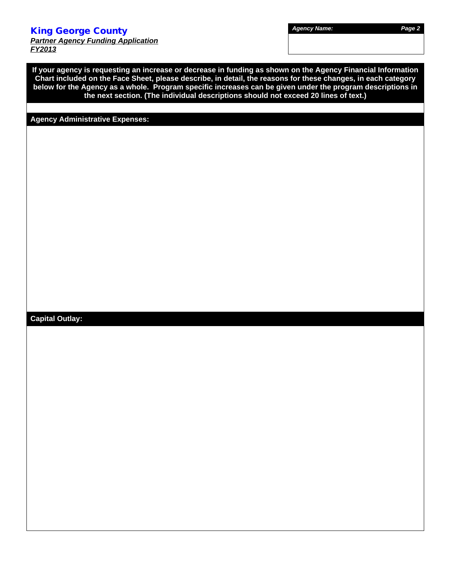*Partner Agency Funding Application FY2013*

**If your agency is requesting an increase or decrease in funding as shown on the Agency Financial Information Chart included on the Face Sheet, please describe, in detail, the reasons for these changes, in each category below for the Agency as a whole. Program specific increases can be given under the program descriptions in the next section. (The individual descriptions should not exceed 20 lines of text.)**

### **Agency Administrative Expenses:**

### **Capital Outlay:**

*Agency Name: Page 2*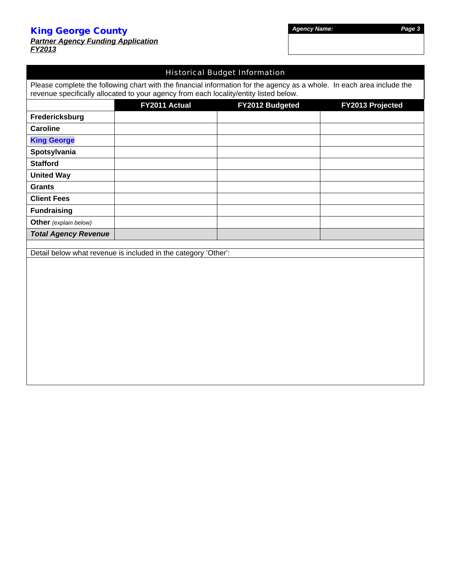|               |  | <b>Partner Agency Funding Application</b> |
|---------------|--|-------------------------------------------|
| <b>FY2013</b> |  |                                           |

### Historical Budget Information

Please complete the following chart with the financial information for the agency as a whole. In each area include the revenue specifically allocated to your agency from each locality/entity listed below.

|                              | FY2011 Actual                                                  | FY2012 Budgeted | FY2013 Projected |
|------------------------------|----------------------------------------------------------------|-----------------|------------------|
| Fredericksburg               |                                                                |                 |                  |
| <b>Caroline</b>              |                                                                |                 |                  |
| <b>King George</b>           |                                                                |                 |                  |
| Spotsylvania                 |                                                                |                 |                  |
| <b>Stafford</b>              |                                                                |                 |                  |
| <b>United Way</b>            |                                                                |                 |                  |
| <b>Grants</b>                |                                                                |                 |                  |
| <b>Client Fees</b>           |                                                                |                 |                  |
| <b>Fundraising</b>           |                                                                |                 |                  |
| <b>Other</b> (explain below) |                                                                |                 |                  |
| <b>Total Agency Revenue</b>  |                                                                |                 |                  |
|                              |                                                                |                 |                  |
|                              | Detail below what revenue is included in the category 'Other': |                 |                  |
|                              |                                                                |                 |                  |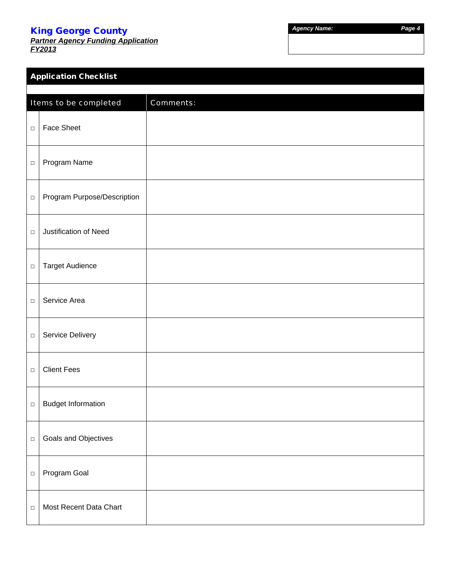*Partner Agency Funding Application FY2013*

*Agency Name: Page 4*

|        | <b>Application Checklist</b> |           |  |  |  |  |  |  |  |
|--------|------------------------------|-----------|--|--|--|--|--|--|--|
|        |                              |           |  |  |  |  |  |  |  |
|        | Items to be completed        | Comments: |  |  |  |  |  |  |  |
| $\Box$ | <b>Face Sheet</b>            |           |  |  |  |  |  |  |  |
| $\Box$ | Program Name                 |           |  |  |  |  |  |  |  |
| $\Box$ | Program Purpose/Description  |           |  |  |  |  |  |  |  |
| $\Box$ | Justification of Need        |           |  |  |  |  |  |  |  |
| $\Box$ | <b>Target Audience</b>       |           |  |  |  |  |  |  |  |
| $\Box$ | Service Area                 |           |  |  |  |  |  |  |  |
| $\Box$ | Service Delivery             |           |  |  |  |  |  |  |  |
| $\Box$ | <b>Client Fees</b>           |           |  |  |  |  |  |  |  |
| $\Box$ | <b>Budget Information</b>    |           |  |  |  |  |  |  |  |
| $\Box$ | Goals and Objectives         |           |  |  |  |  |  |  |  |
| $\Box$ | Program Goal                 |           |  |  |  |  |  |  |  |
| $\Box$ | Most Recent Data Chart       |           |  |  |  |  |  |  |  |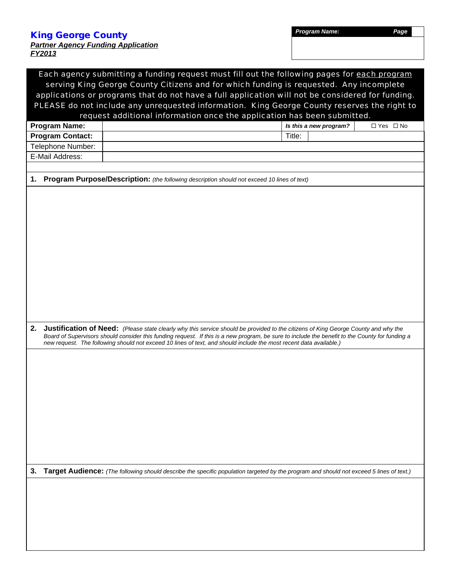### *Partner Agency Funding Application FY2013*

|    |                                                                                                  | Each agency submitting a funding request must fill out the following pages for each program                                                                                                                                                                                                                                                                                                                        |  |  |  |  |  |  |  |  |
|----|--------------------------------------------------------------------------------------------------|--------------------------------------------------------------------------------------------------------------------------------------------------------------------------------------------------------------------------------------------------------------------------------------------------------------------------------------------------------------------------------------------------------------------|--|--|--|--|--|--|--|--|
|    | serving King George County Citizens and for which funding is requested. Any incomplete           |                                                                                                                                                                                                                                                                                                                                                                                                                    |  |  |  |  |  |  |  |  |
|    | applications or programs that do not have a full application will not be considered for funding. |                                                                                                                                                                                                                                                                                                                                                                                                                    |  |  |  |  |  |  |  |  |
|    |                                                                                                  | PLEASE do not include any unrequested information. King George County reserves the right to                                                                                                                                                                                                                                                                                                                        |  |  |  |  |  |  |  |  |
|    |                                                                                                  | request additional information once the application has been submitted.                                                                                                                                                                                                                                                                                                                                            |  |  |  |  |  |  |  |  |
|    | <b>Program Name:</b>                                                                             | □ Yes □ No<br>Is this a new program?                                                                                                                                                                                                                                                                                                                                                                               |  |  |  |  |  |  |  |  |
|    | <b>Program Contact:</b>                                                                          | Title:                                                                                                                                                                                                                                                                                                                                                                                                             |  |  |  |  |  |  |  |  |
|    | Telephone Number:                                                                                |                                                                                                                                                                                                                                                                                                                                                                                                                    |  |  |  |  |  |  |  |  |
|    | E-Mail Address:                                                                                  |                                                                                                                                                                                                                                                                                                                                                                                                                    |  |  |  |  |  |  |  |  |
|    |                                                                                                  |                                                                                                                                                                                                                                                                                                                                                                                                                    |  |  |  |  |  |  |  |  |
| 1. |                                                                                                  | Program Purpose/Description: (the following description should not exceed 10 lines of text)                                                                                                                                                                                                                                                                                                                        |  |  |  |  |  |  |  |  |
|    |                                                                                                  |                                                                                                                                                                                                                                                                                                                                                                                                                    |  |  |  |  |  |  |  |  |
|    |                                                                                                  |                                                                                                                                                                                                                                                                                                                                                                                                                    |  |  |  |  |  |  |  |  |
|    |                                                                                                  |                                                                                                                                                                                                                                                                                                                                                                                                                    |  |  |  |  |  |  |  |  |
|    |                                                                                                  |                                                                                                                                                                                                                                                                                                                                                                                                                    |  |  |  |  |  |  |  |  |
|    |                                                                                                  |                                                                                                                                                                                                                                                                                                                                                                                                                    |  |  |  |  |  |  |  |  |
|    |                                                                                                  |                                                                                                                                                                                                                                                                                                                                                                                                                    |  |  |  |  |  |  |  |  |
|    |                                                                                                  |                                                                                                                                                                                                                                                                                                                                                                                                                    |  |  |  |  |  |  |  |  |
|    |                                                                                                  |                                                                                                                                                                                                                                                                                                                                                                                                                    |  |  |  |  |  |  |  |  |
|    |                                                                                                  |                                                                                                                                                                                                                                                                                                                                                                                                                    |  |  |  |  |  |  |  |  |
|    |                                                                                                  |                                                                                                                                                                                                                                                                                                                                                                                                                    |  |  |  |  |  |  |  |  |
|    |                                                                                                  |                                                                                                                                                                                                                                                                                                                                                                                                                    |  |  |  |  |  |  |  |  |
|    |                                                                                                  |                                                                                                                                                                                                                                                                                                                                                                                                                    |  |  |  |  |  |  |  |  |
|    |                                                                                                  |                                                                                                                                                                                                                                                                                                                                                                                                                    |  |  |  |  |  |  |  |  |
|    |                                                                                                  |                                                                                                                                                                                                                                                                                                                                                                                                                    |  |  |  |  |  |  |  |  |
| 2. |                                                                                                  | <b>Justification of Need:</b> (Please state clearly why this service should be provided to the citizens of King George County and why the<br>Board of Supervisors should consider this funding request. If this is a new program, be sure to include the benefit to the County for funding a<br>new request. The following should not exceed 10 lines of text, and should include the most recent data available.) |  |  |  |  |  |  |  |  |
|    |                                                                                                  |                                                                                                                                                                                                                                                                                                                                                                                                                    |  |  |  |  |  |  |  |  |
|    |                                                                                                  |                                                                                                                                                                                                                                                                                                                                                                                                                    |  |  |  |  |  |  |  |  |
|    |                                                                                                  |                                                                                                                                                                                                                                                                                                                                                                                                                    |  |  |  |  |  |  |  |  |
|    |                                                                                                  |                                                                                                                                                                                                                                                                                                                                                                                                                    |  |  |  |  |  |  |  |  |
|    |                                                                                                  |                                                                                                                                                                                                                                                                                                                                                                                                                    |  |  |  |  |  |  |  |  |
|    |                                                                                                  |                                                                                                                                                                                                                                                                                                                                                                                                                    |  |  |  |  |  |  |  |  |
|    |                                                                                                  |                                                                                                                                                                                                                                                                                                                                                                                                                    |  |  |  |  |  |  |  |  |
|    |                                                                                                  |                                                                                                                                                                                                                                                                                                                                                                                                                    |  |  |  |  |  |  |  |  |
|    |                                                                                                  |                                                                                                                                                                                                                                                                                                                                                                                                                    |  |  |  |  |  |  |  |  |
|    |                                                                                                  |                                                                                                                                                                                                                                                                                                                                                                                                                    |  |  |  |  |  |  |  |  |
|    |                                                                                                  |                                                                                                                                                                                                                                                                                                                                                                                                                    |  |  |  |  |  |  |  |  |
|    |                                                                                                  |                                                                                                                                                                                                                                                                                                                                                                                                                    |  |  |  |  |  |  |  |  |
|    |                                                                                                  |                                                                                                                                                                                                                                                                                                                                                                                                                    |  |  |  |  |  |  |  |  |
| 3. |                                                                                                  | Target Audience: (The following should describe the specific population targeted by the program and should not exceed 5 lines of text.)                                                                                                                                                                                                                                                                            |  |  |  |  |  |  |  |  |
|    |                                                                                                  |                                                                                                                                                                                                                                                                                                                                                                                                                    |  |  |  |  |  |  |  |  |
|    |                                                                                                  |                                                                                                                                                                                                                                                                                                                                                                                                                    |  |  |  |  |  |  |  |  |
|    |                                                                                                  |                                                                                                                                                                                                                                                                                                                                                                                                                    |  |  |  |  |  |  |  |  |
|    |                                                                                                  |                                                                                                                                                                                                                                                                                                                                                                                                                    |  |  |  |  |  |  |  |  |
|    |                                                                                                  |                                                                                                                                                                                                                                                                                                                                                                                                                    |  |  |  |  |  |  |  |  |
|    |                                                                                                  |                                                                                                                                                                                                                                                                                                                                                                                                                    |  |  |  |  |  |  |  |  |
|    |                                                                                                  |                                                                                                                                                                                                                                                                                                                                                                                                                    |  |  |  |  |  |  |  |  |
|    |                                                                                                  |                                                                                                                                                                                                                                                                                                                                                                                                                    |  |  |  |  |  |  |  |  |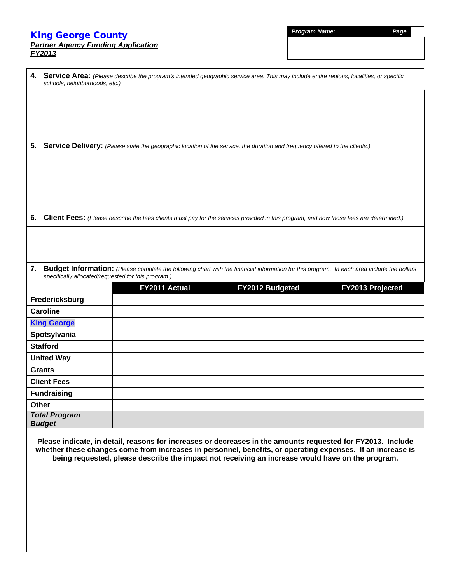### *Partner Agency Funding Application FY2013*

| <b>Program Name.</b> |  |  |
|----------------------|--|--|
|                      |  |  |
|                      |  |  |

| 4.    | schools, neighborhoods, etc.)                       |               | Service Area: (Please describe the program's intended geographic service area. This may include entire regions, localities, or specific                                                                        |                  |
|-------|-----------------------------------------------------|---------------|----------------------------------------------------------------------------------------------------------------------------------------------------------------------------------------------------------------|------------------|
|       |                                                     |               |                                                                                                                                                                                                                |                  |
|       |                                                     |               |                                                                                                                                                                                                                |                  |
|       |                                                     |               |                                                                                                                                                                                                                |                  |
|       |                                                     |               |                                                                                                                                                                                                                |                  |
|       |                                                     |               | 5. Service Delivery: (Please state the geographic location of the service, the duration and frequency offered to the clients.)                                                                                 |                  |
|       |                                                     |               |                                                                                                                                                                                                                |                  |
|       |                                                     |               |                                                                                                                                                                                                                |                  |
|       |                                                     |               |                                                                                                                                                                                                                |                  |
|       |                                                     |               |                                                                                                                                                                                                                |                  |
|       |                                                     |               |                                                                                                                                                                                                                |                  |
| 6.    |                                                     |               | Client Fees: (Please describe the fees clients must pay for the services provided in this program, and how those fees are determined.)                                                                         |                  |
|       |                                                     |               |                                                                                                                                                                                                                |                  |
|       |                                                     |               |                                                                                                                                                                                                                |                  |
|       |                                                     |               |                                                                                                                                                                                                                |                  |
| 7.    | specifically allocated/requested for this program.) |               | Budget Information: (Please complete the following chart with the financial information for this program. In each area include the dollars                                                                     |                  |
|       |                                                     | FY2011 Actual | FY2012 Budgeted                                                                                                                                                                                                | FY2013 Projected |
|       | Fredericksburg                                      |               |                                                                                                                                                                                                                |                  |
|       | <b>Caroline</b>                                     |               |                                                                                                                                                                                                                |                  |
|       | <b>King George</b>                                  |               |                                                                                                                                                                                                                |                  |
|       | Spotsylvania                                        |               |                                                                                                                                                                                                                |                  |
|       | <b>Stafford</b>                                     |               |                                                                                                                                                                                                                |                  |
|       | <b>United Way</b>                                   |               |                                                                                                                                                                                                                |                  |
|       | <b>Grants</b>                                       |               |                                                                                                                                                                                                                |                  |
|       | <b>Client Fees</b>                                  |               |                                                                                                                                                                                                                |                  |
|       | <b>Fundraising</b>                                  |               |                                                                                                                                                                                                                |                  |
| Other |                                                     |               |                                                                                                                                                                                                                |                  |
|       | <b>Total Program</b><br><b>Budget</b>               |               |                                                                                                                                                                                                                |                  |
|       |                                                     |               |                                                                                                                                                                                                                |                  |
|       |                                                     |               |                                                                                                                                                                                                                |                  |
|       |                                                     |               | Please indicate, in detail, reasons for increases or decreases in the amounts requested for FY2013. Include                                                                                                    |                  |
|       |                                                     |               | whether these changes come from increases in personnel, benefits, or operating expenses. If an increase is<br>being requested, please describe the impact not receiving an increase would have on the program. |                  |
|       |                                                     |               |                                                                                                                                                                                                                |                  |
|       |                                                     |               |                                                                                                                                                                                                                |                  |
|       |                                                     |               |                                                                                                                                                                                                                |                  |
|       |                                                     |               |                                                                                                                                                                                                                |                  |
|       |                                                     |               |                                                                                                                                                                                                                |                  |
|       |                                                     |               |                                                                                                                                                                                                                |                  |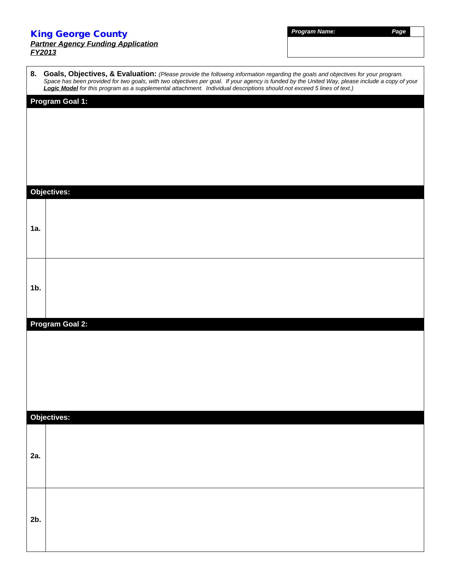### *Partner Agency Funding Application FY2013*

*Program Name: Page*

|        | 8. Goals, Objectives, & Evaluation: (Please provide the following information regarding the goals and objectives for your program.<br>Space has been provided for two goals, with two objectives per goal. If your agency is fund<br>Logic Model for this program as a supplemental attachment. Individual descriptions should not exceed 5 lines of text.) |
|--------|-------------------------------------------------------------------------------------------------------------------------------------------------------------------------------------------------------------------------------------------------------------------------------------------------------------------------------------------------------------|
|        | <b>Program Goal 1:</b>                                                                                                                                                                                                                                                                                                                                      |
|        |                                                                                                                                                                                                                                                                                                                                                             |
|        |                                                                                                                                                                                                                                                                                                                                                             |
|        |                                                                                                                                                                                                                                                                                                                                                             |
|        |                                                                                                                                                                                                                                                                                                                                                             |
|        |                                                                                                                                                                                                                                                                                                                                                             |
|        |                                                                                                                                                                                                                                                                                                                                                             |
|        | <b>Objectives:</b>                                                                                                                                                                                                                                                                                                                                          |
|        |                                                                                                                                                                                                                                                                                                                                                             |
| 1a.    |                                                                                                                                                                                                                                                                                                                                                             |
|        |                                                                                                                                                                                                                                                                                                                                                             |
|        |                                                                                                                                                                                                                                                                                                                                                             |
|        |                                                                                                                                                                                                                                                                                                                                                             |
| $1b$ . |                                                                                                                                                                                                                                                                                                                                                             |
|        |                                                                                                                                                                                                                                                                                                                                                             |
|        |                                                                                                                                                                                                                                                                                                                                                             |
|        | Program Goal 2:                                                                                                                                                                                                                                                                                                                                             |
|        |                                                                                                                                                                                                                                                                                                                                                             |
|        |                                                                                                                                                                                                                                                                                                                                                             |
|        |                                                                                                                                                                                                                                                                                                                                                             |
|        |                                                                                                                                                                                                                                                                                                                                                             |
|        |                                                                                                                                                                                                                                                                                                                                                             |
|        |                                                                                                                                                                                                                                                                                                                                                             |
|        | Objectives:                                                                                                                                                                                                                                                                                                                                                 |
|        |                                                                                                                                                                                                                                                                                                                                                             |
|        |                                                                                                                                                                                                                                                                                                                                                             |
| 2a.    |                                                                                                                                                                                                                                                                                                                                                             |
|        |                                                                                                                                                                                                                                                                                                                                                             |
|        |                                                                                                                                                                                                                                                                                                                                                             |
|        |                                                                                                                                                                                                                                                                                                                                                             |
| $2b$ . |                                                                                                                                                                                                                                                                                                                                                             |
|        |                                                                                                                                                                                                                                                                                                                                                             |
|        |                                                                                                                                                                                                                                                                                                                                                             |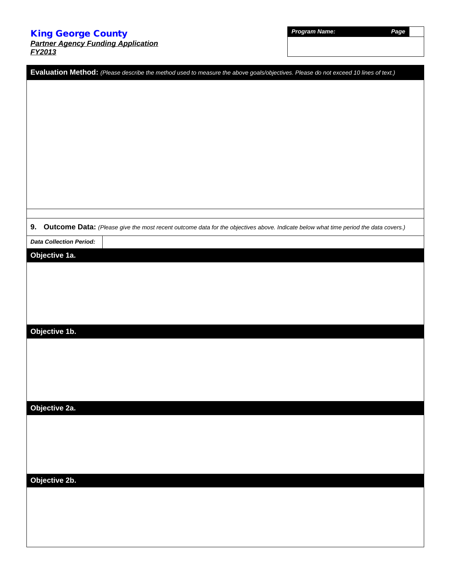*Partner Agency Funding Application FY2013*

| <b>Program Name</b> |  |
|---------------------|--|
|---------------------|--|

*Program Name: Page*

| Evaluation Method: (Please describe the method used to measure the above goals/objectives. Please do not exceed 10 lines of text.)        |  |
|-------------------------------------------------------------------------------------------------------------------------------------------|--|
|                                                                                                                                           |  |
|                                                                                                                                           |  |
|                                                                                                                                           |  |
|                                                                                                                                           |  |
|                                                                                                                                           |  |
|                                                                                                                                           |  |
|                                                                                                                                           |  |
|                                                                                                                                           |  |
|                                                                                                                                           |  |
|                                                                                                                                           |  |
| 9.<br>Outcome Data: (Please give the most recent outcome data for the objectives above. Indicate below what time period the data covers.) |  |
| <b>Data Collection Period:</b>                                                                                                            |  |
| Objective 1a.                                                                                                                             |  |
|                                                                                                                                           |  |
|                                                                                                                                           |  |
|                                                                                                                                           |  |
|                                                                                                                                           |  |
| Objective 1b.                                                                                                                             |  |
|                                                                                                                                           |  |
|                                                                                                                                           |  |
|                                                                                                                                           |  |
|                                                                                                                                           |  |
| Objective 2a.                                                                                                                             |  |
|                                                                                                                                           |  |
|                                                                                                                                           |  |
|                                                                                                                                           |  |
|                                                                                                                                           |  |
| Objective 2b.                                                                                                                             |  |
|                                                                                                                                           |  |
|                                                                                                                                           |  |
|                                                                                                                                           |  |
|                                                                                                                                           |  |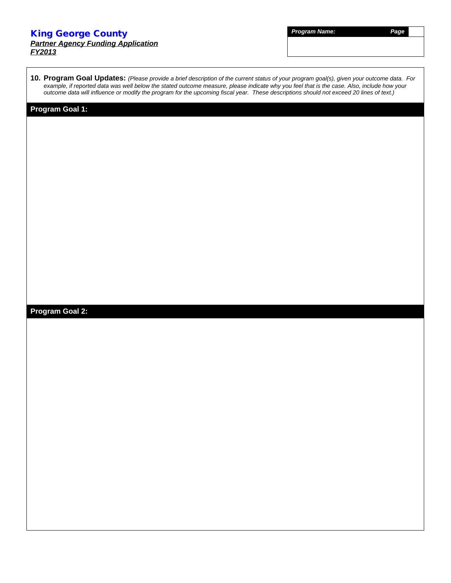### *Partner Agency Funding Application FY2013*

*Program Name: Page*

**10. Program Goal Updates:** *(Please provide a brief description of the current status of your program goal(s), given your outcome data. For example, if reported data was well below the stated outcome measure, please indicate why you feel that is the case. Also, include how your outcome data will influence or modify the program for the upcoming fiscal year. These descriptions should not exceed 20 lines of text.)*

### **Program Goal 1:**

### **Program Goal 2:**